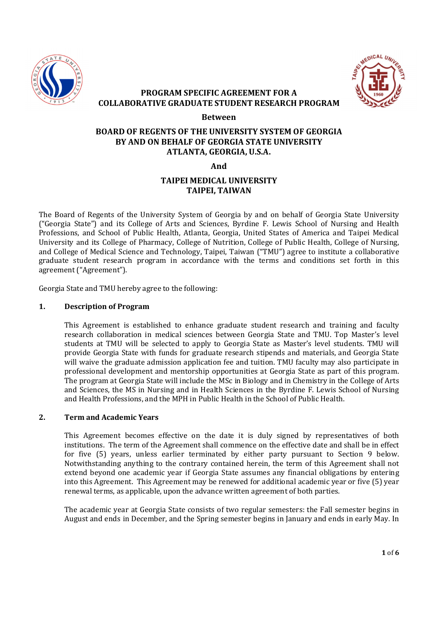



# **PROGRAM SPECIFIC AGREEMENT FOR A COLLABORATIVE GRADUATE STUDENT RESEARCH PROGRAM**

#### **Between**

# **BOARD OF REGENTS OF THE UNIVERSITY SYSTEM OF GEORGIA BY AND ON BEHALF OF GEORGIA STATE UNIVERSITY ATLANTA, GEORGIA, U.S.A.**

## **And**

# **TAIPEI MEDICAL UNIVERSITY TAIPEI, TAIWAN**

The Board of Regents of the University System of Georgia by and on behalf of Georgia State University ("Georgia State") and its College of Arts and Sciences, Byrdine F. Lewis School of Nursing and Health Professions, and School of Public Health, Atlanta, Georgia, United States of America and Taipei Medical University and its College of Pharmacy, College of Nutrition, College of Public Health, College of Nursing, and College of Medical Science and Technology, Taipei, Taiwan ("TMU") agree to institute a collaborative graduate student research program in accordance with the terms and conditions set forth in this agreement ("Agreement").

Georgia State and TMU hereby agree to the following:

## **1. Description of Program**

This Agreement is established to enhance graduate student research and training and faculty research collaboration in medical sciences between Georgia State and TMU. Top Master's level students at TMU will be selected to apply to Georgia State as Master's level students. TMU will provide Georgia State with funds for graduate research stipends and materials, and Georgia State will waive the graduate admission application fee and tuition. TMU faculty may also participate in professional development and mentorship opportunities at Georgia State as part of this program. The program at Georgia State will include the MSc in Biology and in Chemistry in the College of Arts and Sciences, the MS in Nursing and in Health Sciences in the Byrdine F. Lewis School of Nursing and Health Professions, and the MPH in Public Health in the School of Public Health.

## **2. Term and Academic Years**

This Agreement becomes effective on the date it is duly signed by representatives of both institutions. The term of the Agreement shall commence on the effective date and shall be in effect for five (5) years, unless earlier terminated by either party pursuant to Section 9 below. Notwithstanding anything to the contrary contained herein, the term of this Agreement shall not extend beyond one academic year if Georgia State assumes any financial obligations by entering into this Agreement. This Agreement may be renewed for additional academic year or five (5) year renewal terms, as applicable, upon the advance written agreement of both parties.

The academic year at Georgia State consists of two regular semesters: the Fall semester begins in August and ends in December, and the Spring semester begins in January and ends in early May. In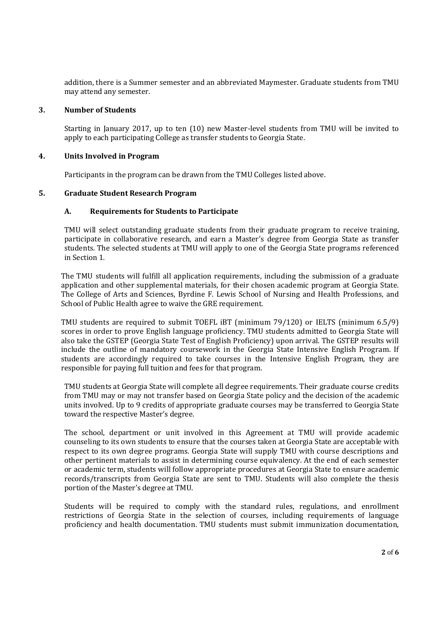addition, there is a Summer semester and an abbreviated Maymester. Graduate students from TMU may attend any semester.

### **3. Number of Students**

Starting in January 2017, up to ten (10) new Master-level students from TMU will be invited to apply to each participating College as transfer students to Georgia State.

#### **4. Units Involved in Program**

Participants in the program can be drawn from the TMU Colleges listed above.

#### **5. Graduate Student Research Program**

#### **A. Requirements for Students to Participate**

TMU will select outstanding graduate students from their graduate program to receive training, participate in collaborative research, and earn a Master's degree from Georgia State as transfer students. The selected students at TMU will apply to one of the Georgia State programs referenced in Section 1.

The TMU students will fulfill all application requirements, including the submission of a graduate application and other supplemental materials, for their chosen academic program at Georgia State. The College of Arts and Sciences, Byrdine F. Lewis School of Nursing and Health Professions, and School of Public Health agree to waive the GRE requirement.

TMU students are required to submit TOEFL iBT (minimum 79/120) or IELTS (minimum 6.5/9) scores in order to prove English language proficiency. TMU students admitted to Georgia State will also take the GSTEP (Georgia State Test of English Proficiency) upon arrival. The GSTEP results will include the outline of mandatory coursework in the Georgia State Intensive English Program. If students are accordingly required to take courses in the Intensive English Program, they are responsible for paying full tuition and fees for that program.

TMU students at Georgia State will complete all degree requirements. Their graduate course credits from TMU may or may not transfer based on Georgia State policy and the decision of the academic units involved. Up to 9 credits of appropriate graduate courses may be transferred to Georgia State toward the respective Master's degree.

The school, department or unit involved in this Agreement at TMU will provide academic counseling to its own students to ensure that the courses taken at Georgia State are acceptable with respect to its own degree programs. Georgia State will supply TMU with course descriptions and other pertinent materials to assist in determining course equivalency. At the end of each semester or academic term, students will follow appropriate procedures at Georgia State to ensure academic records/transcripts from Georgia State are sent to TMU. Students will also complete the thesis portion of the Master's degree at TMU.

Students will be required to comply with the standard rules, regulations, and enrollment restrictions of Georgia State in the selection of courses, including requirements of language proficiency and health documentation. TMU students must submit immunization documentation,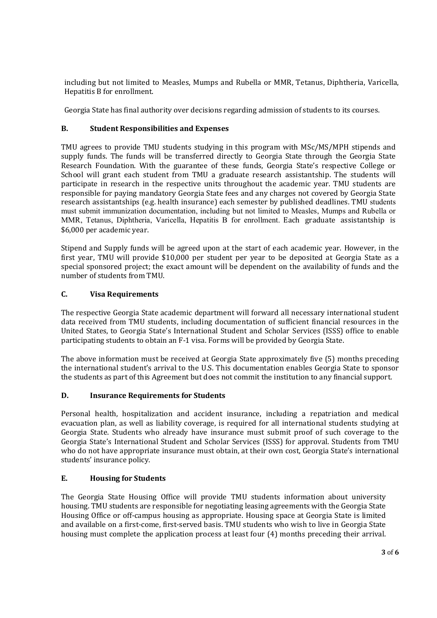including but not limited to Measles, Mumps and Rubella or MMR, Tetanus, Diphtheria, Varicella, Hepatitis B for enrollment.

Georgia State has final authority over decisions regarding admission of students to its courses.

# **B. Student Responsibilities and Expenses**

TMU agrees to provide TMU students studying in this program with MSc/MS/MPH stipends and supply funds. The funds will be transferred directly to Georgia State through the Georgia State Research Foundation. With the guarantee of these funds, Georgia State's respective College or School will grant each student from TMU a graduate research assistantship. The students will participate in research in the respective units throughout the academic year. TMU students are responsible for paying mandatory Georgia State fees and any charges not covered by Georgia State research assistantships (e.g. health insurance) each semester by published deadlines. TMU students must submit immunization documentation, including but not limited to Measles, Mumps and Rubella or MMR, Tetanus, Diphtheria, Varicella, Hepatitis B for enrollment. Each graduate assistantship is \$6,000 per academic year.

Stipend and Supply funds will be agreed upon at the start of each academic year. However, in the first year, TMU will provide \$10,000 per student per year to be deposited at Georgia State as a special sponsored project; the exact amount will be dependent on the availability of funds and the number of students from TMU.

# **C. Visa Requirements**

The respective Georgia State academic department will forward all necessary international student data received from TMU students, including documentation of sufficient financial resources in the United States, to Georgia State's International Student and Scholar Services (ISSS) office to enable participating students to obtain an F-1 visa. Forms will be provided by Georgia State.

The above information must be received at Georgia State approximately five (5) months preceding the international student's arrival to the U.S. This documentation enables Georgia State to sponsor the students as part of this Agreement but does not commit the institution to any financial support.

### **D. Insurance Requirements for Students**

Personal health, hospitalization and accident insurance, including a repatriation and medical evacuation plan, as well as liability coverage, is required for all international students studying at Georgia State. Students who already have insurance must submit proof of such coverage to the Georgia State's International Student and Scholar Services (ISSS) for approval. Students from TMU who do not have appropriate insurance must obtain, at their own cost, Georgia State's international students' insurance policy.

### **E. Housing for Students**

The Georgia State Housing Office will provide TMU students information about university housing. TMU students are responsible for negotiating leasing agreements with the Georgia State Housing Office or off-campus housing as appropriate. Housing space at Georgia State is limited and available on a first-come, first-served basis. TMU students who wish to live in Georgia State housing must complete the application process at least four (4) months preceding their arrival.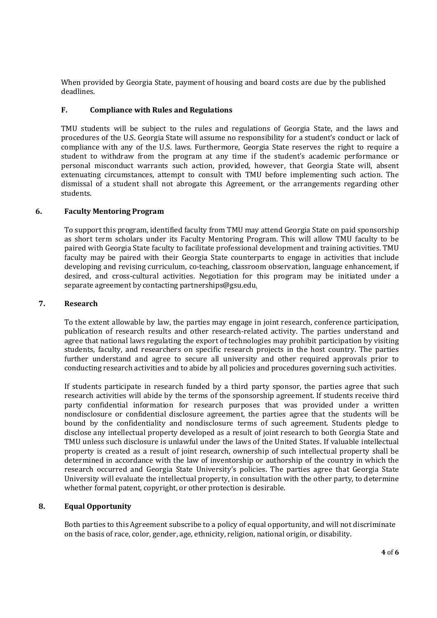When provided by Georgia State, payment of housing and board costs are due by the published deadlines.

# **F. Compliance with Rules and Regulations**

TMU students will be subject to the rules and regulations of Georgia State, and the laws and procedures of the U.S. Georgia State will assume no responsibility for a student's conduct or lack of compliance with any of the U.S. laws. Furthermore, Georgia State reserves the right to require a student to withdraw from the program at any time if the student's academic performance or personal misconduct warrants such action, provided, however, that Georgia State will, absent extenuating circumstances, attempt to consult with TMU before implementing such action. The dismissal of a student shall not abrogate this Agreement, or the arrangements regarding other students.

# **6. Faculty Mentoring Program**

To support this program, identified faculty from TMU may attend Georgia State on paid sponsorship as short term scholars under its Faculty Mentoring Program. This will allow TMU faculty to be paired with Georgia State faculty to facilitate professional development and training activities. TMU faculty may be paired with their Georgia State counterparts to engage in activities that include developing and revising curriculum, co-teaching, classroom observation, language enhancement, if desired, and cross-cultural activities. Negotiation for this program may be initiated under a separate agreement by contacting partnerships@gsu.edu.

### **7. Research**

To the extent allowable by law, the parties may engage in joint research, conference participation, publication of research results and other research-related activity. The parties understand and agree that national laws regulating the export of technologies may prohibit participation by visiting students, faculty, and researchers on specific research projects in the host country. The parties further understand and agree to secure all university and other required approvals prior to conducting research activities and to abide by all policies and procedures governing such activities.

If students participate in research funded by a third party sponsor, the parties agree that such research activities will abide by the terms of the sponsorship agreement. If students receive third party confidential information for research purposes that was provided under a written nondisclosure or confidential disclosure agreement, the parties agree that the students will be bound by the confidentiality and nondisclosure terms of such agreement. Students pledge to disclose any intellectual property developed as a result of joint research to both Georgia State and TMU unless such disclosure is unlawful under the laws of the United States. If valuable intellectual property is created as a result of joint research, ownership of such intellectual property shall be determined in accordance with the law of inventorship or authorship of the country in which the research occurred and Georgia State University's policies. The parties agree that Georgia State University will evaluate the intellectual property, in consultation with the other party, to determine whether formal patent, copyright, or other protection is desirable.

### **8. Equal Opportunity**

Both parties to this Agreement subscribe to a policy of equal opportunity, and will not discriminate on the basis of race, color, gender, age, ethnicity, religion, national origin, or disability.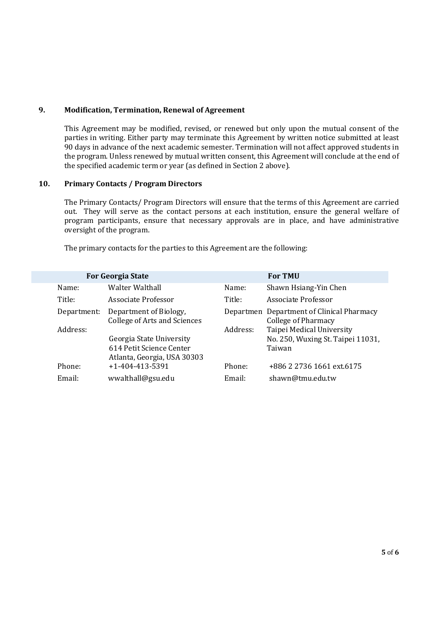# **9. Modification, Termination, Renewal of Agreement**

This Agreement may be modified, revised, or renewed but only upon the mutual consent of the parties in writing. Either party may terminate this Agreement by written notice submitted at least 90 days in advance of the next academic semester. Termination will not affect approved students in the program. Unless renewed by mutual written consent, this Agreement will conclude at the end of the specified academic term or year (as defined in Section 2 above).

# **10. Primary Contacts / Program Directors**

The Primary Contacts/ Program Directors will ensure that the terms of this Agreement are carried out. They will serve as the contact persons at each institution, ensure the general welfare of program participants, ensure that necessary approvals are in place, and have administrative oversight of the program.

The primary contacts for the parties to this Agreement are the following:

| <b>For Georgia State</b> |             |                                                                                     |          | <b>For TMU</b>                                                           |
|--------------------------|-------------|-------------------------------------------------------------------------------------|----------|--------------------------------------------------------------------------|
|                          | Name:       | Walter Walthall                                                                     | Name:    | Shawn Hsiang-Yin Chen                                                    |
|                          | Title:      | Associate Professor                                                                 | Title:   | Associate Professor                                                      |
|                          | Department: | Department of Biology,<br>College of Arts and Sciences                              |          | Departmen Department of Clinical Pharmacy<br>College of Pharmacy         |
|                          | Address:    | Georgia State University<br>614 Petit Science Center<br>Atlanta, Georgia, USA 30303 | Address: | Taipei Medical University<br>No. 250, Wuxing St. Taipei 11031,<br>Taiwan |
|                          | Phone:      | $+1 - 404 - 413 - 5391$                                                             | Phone:   | +886 2 2736 1661 ext.6175                                                |
|                          | Email:      | wwalthall@gsu.edu                                                                   | Email:   | shawn@tmu.edu.tw                                                         |